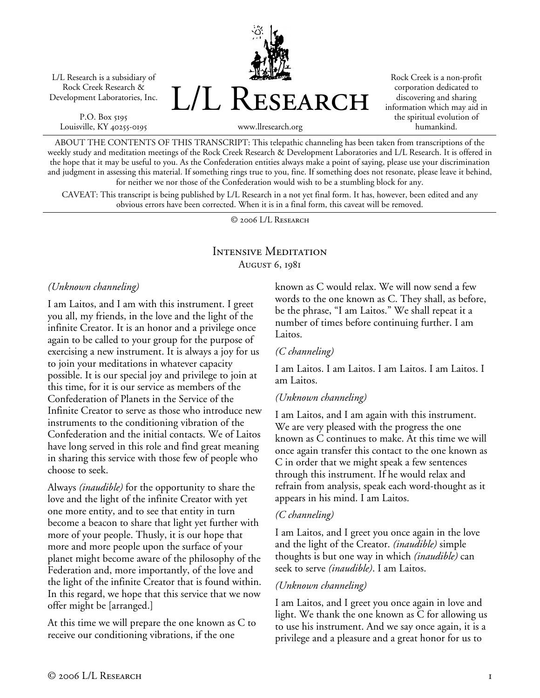L/L Research is a subsidiary of Rock Creek Research & Development Laboratories, Inc.

P.O. Box 5195 Louisville, KY 40255-0195 L/L Research

Rock Creek is a non-profit corporation dedicated to discovering and sharing information which may aid in the spiritual evolution of humankind.

www.llresearch.org

ABOUT THE CONTENTS OF THIS TRANSCRIPT: This telepathic channeling has been taken from transcriptions of the weekly study and meditation meetings of the Rock Creek Research & Development Laboratories and L/L Research. It is offered in the hope that it may be useful to you. As the Confederation entities always make a point of saying, please use your discrimination and judgment in assessing this material. If something rings true to you, fine. If something does not resonate, please leave it behind, for neither we nor those of the Confederation would wish to be a stumbling block for any.

CAVEAT: This transcript is being published by L/L Research in a not yet final form. It has, however, been edited and any obvious errors have been corrected. When it is in a final form, this caveat will be removed.

© 2006 L/L Research

# Intensive Meditation August 6, 1981

#### *(Unknown channeling)*

I am Laitos, and I am with this instrument. I greet you all, my friends, in the love and the light of the infinite Creator. It is an honor and a privilege once again to be called to your group for the purpose of exercising a new instrument. It is always a joy for us to join your meditations in whatever capacity possible. It is our special joy and privilege to join at this time, for it is our service as members of the Confederation of Planets in the Service of the Infinite Creator to serve as those who introduce new instruments to the conditioning vibration of the Confederation and the initial contacts. We of Laitos have long served in this role and find great meaning in sharing this service with those few of people who choose to seek.

Always *(inaudible)* for the opportunity to share the love and the light of the infinite Creator with yet one more entity, and to see that entity in turn become a beacon to share that light yet further with more of your people. Thusly, it is our hope that more and more people upon the surface of your planet might become aware of the philosophy of the Federation and, more importantly, of the love and the light of the infinite Creator that is found within. In this regard, we hope that this service that we now offer might be [arranged.]

At this time we will prepare the one known as C to receive our conditioning vibrations, if the one

known as C would relax. We will now send a few words to the one known as C. They shall, as before, be the phrase, "I am Laitos." We shall repeat it a number of times before continuing further. I am Laitos.

#### *(C channeling)*

I am Laitos. I am Laitos. I am Laitos. I am Laitos. I am Laitos.

### *(Unknown channeling)*

I am Laitos, and I am again with this instrument. We are very pleased with the progress the one known as C continues to make. At this time we will once again transfer this contact to the one known as C in order that we might speak a few sentences through this instrument. If he would relax and refrain from analysis, speak each word-thought as it appears in his mind. I am Laitos.

#### *(C channeling)*

I am Laitos, and I greet you once again in the love and the light of the Creator. *(inaudible)* simple thoughts is but one way in which *(inaudible)* can seek to serve *(inaudible)*. I am Laitos.

#### *(Unknown channeling)*

I am Laitos, and I greet you once again in love and light. We thank the one known as C for allowing us to use his instrument. And we say once again, it is a privilege and a pleasure and a great honor for us to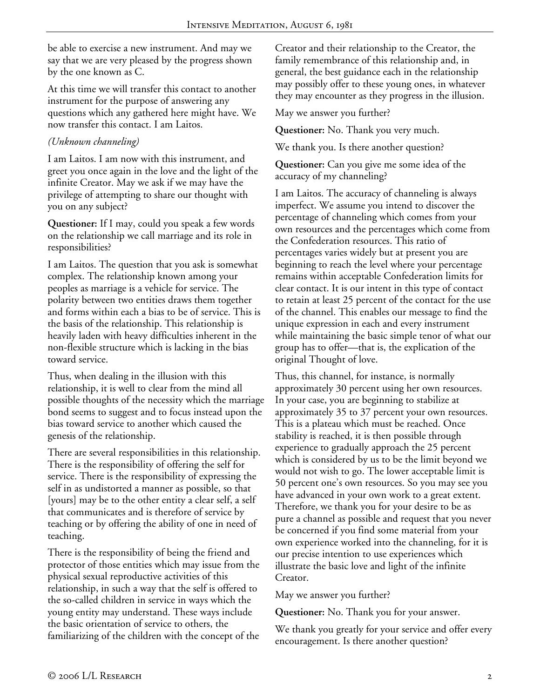be able to exercise a new instrument. And may we say that we are very pleased by the progress shown by the one known as C.

At this time we will transfer this contact to another instrument for the purpose of answering any questions which any gathered here might have. We now transfer this contact. I am Laitos.

### *(Unknown channeling)*

I am Laitos. I am now with this instrument, and greet you once again in the love and the light of the infinite Creator. May we ask if we may have the privilege of attempting to share our thought with you on any subject?

**Questioner:** If I may, could you speak a few words on the relationship we call marriage and its role in responsibilities?

I am Laitos. The question that you ask is somewhat complex. The relationship known among your peoples as marriage is a vehicle for service. The polarity between two entities draws them together and forms within each a bias to be of service. This is the basis of the relationship. This relationship is heavily laden with heavy difficulties inherent in the non-flexible structure which is lacking in the bias toward service.

Thus, when dealing in the illusion with this relationship, it is well to clear from the mind all possible thoughts of the necessity which the marriage bond seems to suggest and to focus instead upon the bias toward service to another which caused the genesis of the relationship.

There are several responsibilities in this relationship. There is the responsibility of offering the self for service. There is the responsibility of expressing the self in as undistorted a manner as possible, so that [yours] may be to the other entity a clear self, a self that communicates and is therefore of service by teaching or by offering the ability of one in need of teaching.

There is the responsibility of being the friend and protector of those entities which may issue from the physical sexual reproductive activities of this relationship, in such a way that the self is offered to the so-called children in service in ways which the young entity may understand. These ways include the basic orientation of service to others, the familiarizing of the children with the concept of the

Creator and their relationship to the Creator, the family remembrance of this relationship and, in general, the best guidance each in the relationship may possibly offer to these young ones, in whatever they may encounter as they progress in the illusion.

May we answer you further?

**Questioner:** No. Thank you very much.

We thank you. Is there another question?

**Questioner:** Can you give me some idea of the accuracy of my channeling?

I am Laitos. The accuracy of channeling is always imperfect. We assume you intend to discover the percentage of channeling which comes from your own resources and the percentages which come from the Confederation resources. This ratio of percentages varies widely but at present you are beginning to reach the level where your percentage remains within acceptable Confederation limits for clear contact. It is our intent in this type of contact to retain at least 25 percent of the contact for the use of the channel. This enables our message to find the unique expression in each and every instrument while maintaining the basic simple tenor of what our group has to offer—that is, the explication of the original Thought of love.

Thus, this channel, for instance, is normally approximately 30 percent using her own resources. In your case, you are beginning to stabilize at approximately 35 to 37 percent your own resources. This is a plateau which must be reached. Once stability is reached, it is then possible through experience to gradually approach the 25 percent which is considered by us to be the limit beyond we would not wish to go. The lower acceptable limit is 50 percent one's own resources. So you may see you have advanced in your own work to a great extent. Therefore, we thank you for your desire to be as pure a channel as possible and request that you never be concerned if you find some material from your own experience worked into the channeling, for it is our precise intention to use experiences which illustrate the basic love and light of the infinite Creator.

May we answer you further?

**Questioner:** No. Thank you for your answer.

We thank you greatly for your service and offer every encouragement. Is there another question?